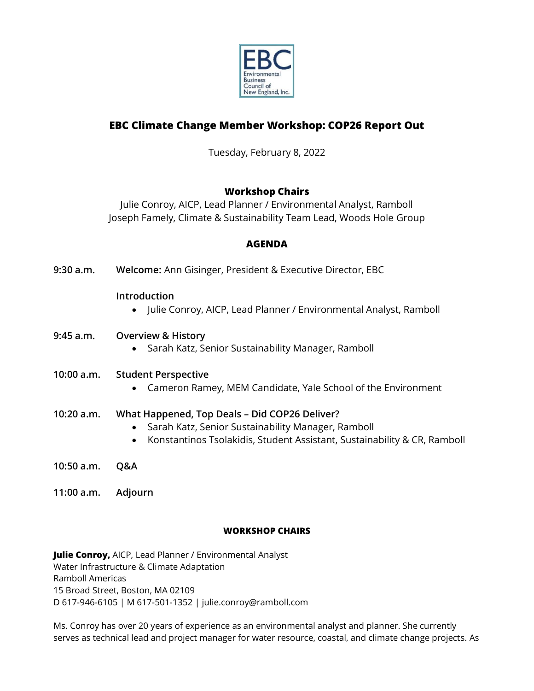

# **EBC Climate Change Member Workshop: COP26 Report Out**

Tuesday, February 8, 2022

# **Workshop Chairs**

Julie Conroy, AICP, Lead Planner / Environmental Analyst, Ramboll Joseph Famely, Climate & Sustainability Team Lead, Woods Hole Group

# **AGENDA**

**9:30 a.m. Welcome:** Ann Gisinger, President & Executive Director, EBC

### **Introduction**

• Julie Conroy, AICP, Lead Planner / Environmental Analyst, Ramboll

### **9:45 a.m. Overview & History**

• Sarah Katz, Senior Sustainability Manager, Ramboll

## **10:00 a.m. Student Perspective**

• Cameron Ramey, MEM Candidate, Yale School of the Environment

## **10:20 a.m. What Happened, Top Deals – Did COP26 Deliver?**

- Sarah Katz, Senior Sustainability Manager, Ramboll
- Konstantinos Tsolakidis, Student Assistant, Sustainability & CR, Ramboll
- **10:50 a.m. Q&A**
- **11:00 a.m. Adjourn**

### **WORKSHOP CHAIRS**

**Julie Conroy,** AICP, Lead Planner / Environmental Analyst Water Infrastructure & Climate Adaptation Ramboll Americas 15 Broad Street, Boston, MA 02109 D 617-946-6105 | M 617-501-1352 | julie.conroy@ramboll.com

Ms. Conroy has over 20 years of experience as an environmental analyst and planner. She currently serves as technical lead and project manager for water resource, coastal, and climate change projects. As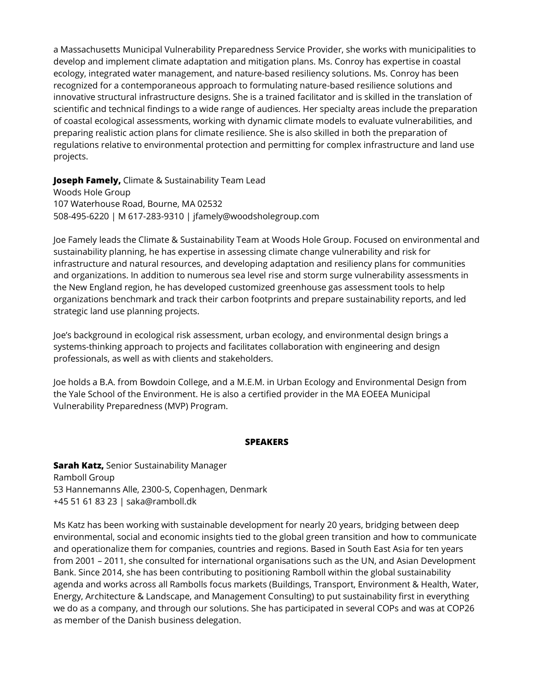a Massachusetts Municipal Vulnerability Preparedness Service Provider, she works with municipalities to develop and implement climate adaptation and mitigation plans. Ms. Conroy has expertise in coastal ecology, integrated water management, and nature-based resiliency solutions. Ms. Conroy has been recognized for a contemporaneous approach to formulating nature-based resilience solutions and innovative structural infrastructure designs. She is a trained facilitator and is skilled in the translation of scientific and technical findings to a wide range of audiences. Her specialty areas include the preparation of coastal ecological assessments, working with dynamic climate models to evaluate vulnerabilities, and preparing realistic action plans for climate resilience. She is also skilled in both the preparation of regulations relative to environmental protection and permitting for complex infrastructure and land use projects.

**Joseph Famely,** Climate & Sustainability Team Lead

Woods Hole Group 107 Waterhouse Road, Bourne, MA 02532 508-495-6220 | M 617-283-9310 | jfamely@woodsholegroup.com

Joe Famely leads the Climate & Sustainability Team at Woods Hole Group. Focused on environmental and sustainability planning, he has expertise in assessing climate change vulnerability and risk for infrastructure and natural resources, and developing adaptation and resiliency plans for communities and organizations. In addition to numerous sea level rise and storm surge vulnerability assessments in the New England region, he has developed customized greenhouse gas assessment tools to help organizations benchmark and track their carbon footprints and prepare sustainability reports, and led strategic land use planning projects.

Joe's background in ecological risk assessment, urban ecology, and environmental design brings a systems-thinking approach to projects and facilitates collaboration with engineering and design professionals, as well as with clients and stakeholders.

Joe holds a B.A. from Bowdoin College, and a M.E.M. in Urban Ecology and Environmental Design from the Yale School of the Environment. He is also a certified provider in the MA EOEEA Municipal Vulnerability Preparedness (MVP) Program.

#### **SPEAKERS**

**Sarah Katz,** Senior Sustainability Manager Ramboll Group 53 Hannemanns Alle, 2300-S, Copenhagen, Denmark +45 51 61 83 23 | saka@ramboll.dk

Ms Katz has been working with sustainable development for nearly 20 years, bridging between deep environmental, social and economic insights tied to the global green transition and how to communicate and operationalize them for companies, countries and regions. Based in South East Asia for ten years from 2001 – 2011, she consulted for international organisations such as the UN, and Asian Development Bank. Since 2014, she has been contributing to positioning Ramboll within the global sustainability agenda and works across all Rambolls focus markets (Buildings, Transport, Environment & Health, Water, Energy, Architecture & Landscape, and Management Consulting) to put sustainability first in everything we do as a company, and through our solutions. She has participated in several COPs and was at COP26 as member of the Danish business delegation.